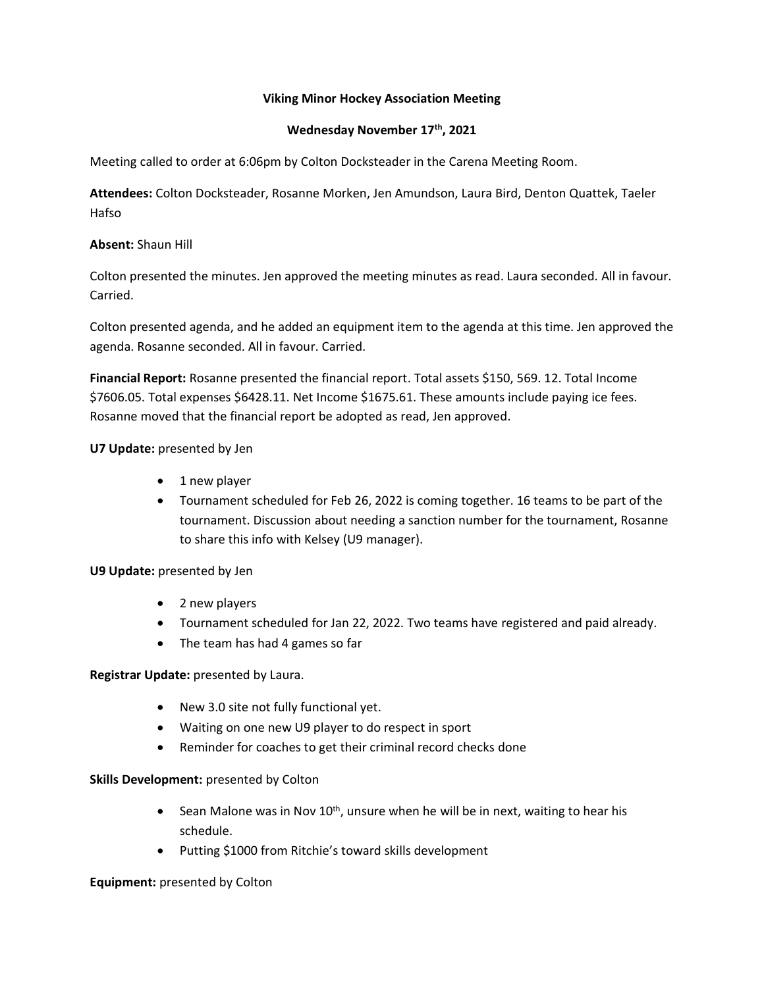#### **Viking Minor Hockey Association Meeting**

### **Wednesday November 17th, 2021**

Meeting called to order at 6:06pm by Colton Docksteader in the Carena Meeting Room.

**Attendees:** Colton Docksteader, Rosanne Morken, Jen Amundson, Laura Bird, Denton Quattek, Taeler Hafso

### **Absent:** Shaun Hill

Colton presented the minutes. Jen approved the meeting minutes as read. Laura seconded. All in favour. Carried.

Colton presented agenda, and he added an equipment item to the agenda at this time. Jen approved the agenda. Rosanne seconded. All in favour. Carried.

**Financial Report:** Rosanne presented the financial report. Total assets \$150, 569. 12. Total Income \$7606.05. Total expenses \$6428.11. Net Income \$1675.61. These amounts include paying ice fees. Rosanne moved that the financial report be adopted as read, Jen approved.

### **U7 Update:** presented by Jen

- 1 new player
- Tournament scheduled for Feb 26, 2022 is coming together. 16 teams to be part of the tournament. Discussion about needing a sanction number for the tournament, Rosanne to share this info with Kelsey (U9 manager).

# **U9 Update:** presented by Jen

- 2 new players
- Tournament scheduled for Jan 22, 2022. Two teams have registered and paid already.
- The team has had 4 games so far

#### **Registrar Update:** presented by Laura.

- New 3.0 site not fully functional yet.
- Waiting on one new U9 player to do respect in sport
- Reminder for coaches to get their criminal record checks done

#### **Skills Development:** presented by Colton

- Sean Malone was in Nov  $10^{th}$ , unsure when he will be in next, waiting to hear his schedule.
- Putting \$1000 from Ritchie's toward skills development

#### **Equipment:** presented by Colton